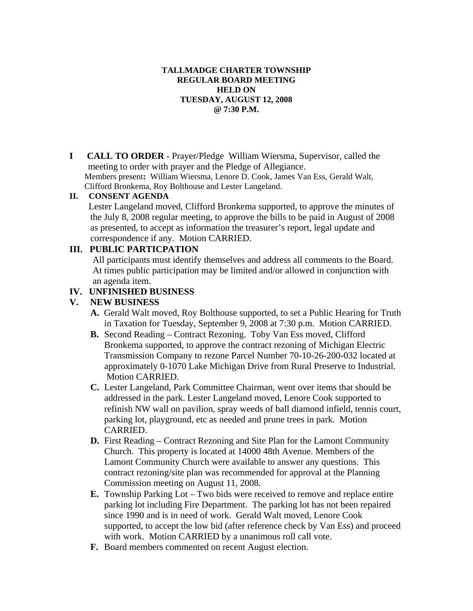### **TALLMADGE CHARTER TOWNSHIP REGULAR BOARD MEETING HELD ON TUESDAY, AUGUST 12, 2008 @ 7:30 P.M.**

**I CALL TO ORDER** - Prayer/Pledge William Wiersma, Supervisor, called the meeting to order with prayer and the Pledge of Allegiance. Members present**:** William Wiersma, Lenore D. Cook, James Van Ess, Gerald Walt, Clifford Bronkema, Roy Bolthouse and Lester Langeland.

#### **II. CONSENT AGENDA**

 Lester Langeland moved, Clifford Bronkema supported, to approve the minutes of the July 8, 2008 regular meeting, to approve the bills to be paid in August of 2008 as presented, to accept as information the treasurer's report, legal update and correspondence if any. Motion CARRIED.

# **III. PUBLIC PARTICPATION**

 All participants must identify themselves and address all comments to the Board. At times public participation may be limited and/or allowed in conjunction with an agenda item.

# **IV. UNFINISHED BUSINESS**

### **V. NEW BUSINESS**

- **A.** Gerald Walt moved, Roy Bolthouse supported, to set a Public Hearing for Truth in Taxation for Tuesday, September 9, 2008 at 7:30 p.m. Motion CARRIED.
- **B.** Second Reading Contract Rezoning. Toby Van Ess moved, Clifford Bronkema supported, to approve the contract rezoning of Michigan Electric Transmission Company to rezone Parcel Number 70-10-26-200-032 located at approximately 0-1070 Lake Michigan Drive from Rural Preserve to Industrial. Motion CARRIED.
- **C.** Lester Langeland, Park Committee Chairman, went over items that should be addressed in the park. Lester Langeland moved, Lenore Cook supported to refinish NW wall on pavilion, spray weeds of ball diamond infield, tennis court, parking lot, playground, etc as needed and prune trees in park. Motion CARRIED.
- **D.** First Reading Contract Rezoning and Site Plan for the Lamont Community Church. This property is located at 14000 48th Avenue. Members of the Lamont Community Church were available to answer any questions. This contract rezoning/site plan was recommended for approval at the Planning Commission meeting on August 11, 2008.
- **E.** Township Parking Lot Two bids were received to remove and replace entire parking lot including Fire Department. The parking lot has not been repaired since 1990 and is in need of work. Gerald Walt moved, Lenore Cook supported, to accept the low bid (after reference check by Van Ess) and proceed with work. Motion CARRIED by a unanimous roll call vote.
- **F.** Board members commented on recent August election.